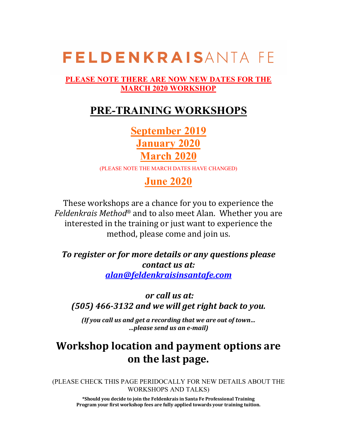#### **PLEASE NOTE THERE ARE NOW NEW DATES FOR THE MARCH 2020 WORKSHOP**

## **PRE-TRAINING WORKSHOPS**

**September 2019 January 2020 March 2020**

(PLEASE NOTE THE MARCH DATES HAVE CHANGED)

## **June 2020**

These workshops are a chance for you to experience the *Feldenkrais Method*<sup>®</sup> and to also meet Alan. Whether you are interested in the training or just want to experience the method, please come and join us.

To register or for more details or any questions please *contact us at: alan@feldenkraisinsantafe.com*

*or call us at: (505) 466-3132 and we will get right back to you.*

*(If you call us and get a recording that we are out of town... …please send us an e-mail)*

## **Workshop location and payment options are on the last page.**

(PLEASE CHECK THIS PAGE PERIDOCALLY FOR NEW DETAILS ABOUT THE WORKSHOPS AND TALKS)

**\*Should you decide to join the Feldenkrais in Santa Fe Professional Training** Program your first workshop fees are fully applied towards your training tuition.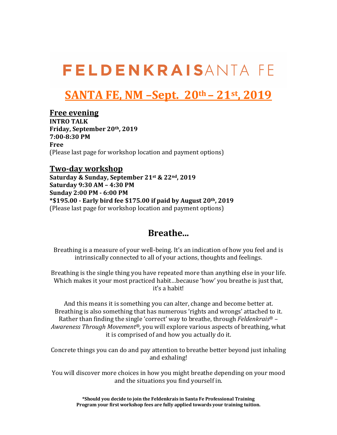## **SANTA FE, NM –Sept. 20th – 21st, 2019**

#### **Free evening**

**INTRO TALK** Friday, September 20<sup>th</sup>, 2019 **7:00-8:30 PM Free** (Please last page for workshop location and payment options)

#### **Two-day workshop**

Saturday & Sunday, September 21st & 22<sup>nd</sup>, 2019 **Saturday 9:30 AM – 4:30 PM Sunday 2:00 PM - 6:00 PM \*\$195.00 - Early bird fee \$175.00 if paid by August 20th, 2019** (Please last page for workshop location and payment options)

### **Breathe...**

Breathing is a measure of your well-being. It's an indication of how you feel and is intrinsically connected to all of your actions, thoughts and feelings.

Breathing is the single thing you have repeated more than anything else in your life. Which makes it your most practiced habit...because 'how' you breathe is just that, it's a habit!

And this means it is something you can alter, change and become better at. Breathing is also something that has numerous 'rights and wrongs' attached to it. Rather than finding the single 'correct' way to breathe, through *Feldenkrais*<sup>®</sup> – *Awareness Through Movement<sup>®</sup>*, you will explore various aspects of breathing, what it is comprised of and how you actually do it.

Concrete things you can do and pay attention to breathe better beyond just inhaling and exhaling!

You will discover more choices in how you might breathe depending on your mood and the situations you find yourself in.

> **\*Should you decide to join the Feldenkrais in Santa Fe Professional Training** Program your first workshop fees are fully applied towards your training tuition.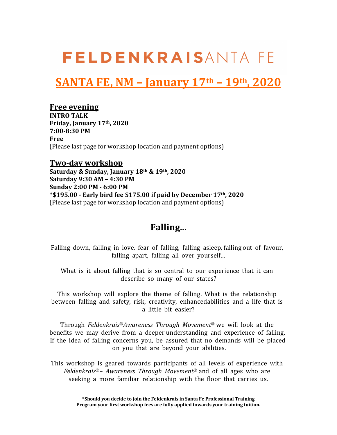## **SANTA FE, NM – January 17th – 19th, 2020**

#### **Free evening**

**INTRO TALK Friday, January 17th, 2020 7:00-8:30 PM Free** (Please last page for workshop location and payment options)

#### **Two-day workshop**

Saturday & Sunday, January 18<sup>th</sup> & 19<sup>th</sup>, 2020 **Saturday 9:30 AM – 4:30 PM Sunday 2:00 PM - 6:00 PM \*\$195.00 - Early bird fee \$175.00 if paid by December 17th, 2020** (Please last page for workshop location and payment options)

### **Falling...**

Falling down, falling in love, fear of falling, falling asleep, falling out of favour, falling apart, falling all over yourself…

What is it about falling that is so central to our experience that it can describe so many of our states?

This workshop will explore the theme of falling. What is the relationship between falling and safety, risk, creativity, enhancedabilities and a life that is a little bit easier?

Through *Feldenkrais*®*Awareness Through Movement*® we will look at the benefits we may derive from a deeper understanding and experience of falling. If the idea of falling concerns you, be assured that no demands will be placed on you that are beyond your abilities.

This workshop is geared towards participants of all levels of experience with *Feldenkrais*®*– Awareness Through Movement*® and of all ages who are seeking a more familiar relationship with the floor that carries us.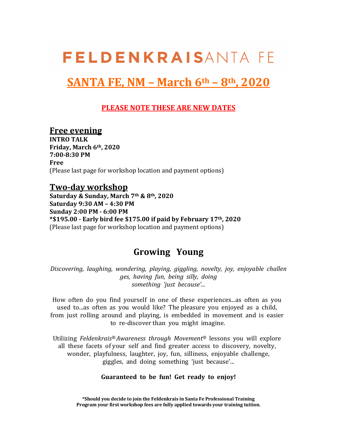## **SANTA FE, NM – March 6th – 8th, 2020**

#### **PLEASE NOTE THESE ARE NEW DATES**

#### **Free evening**

**INTRO TALK** Friday, March 6<sup>th</sup>, 2020 **7:00-8:30 PM Free** (Please last page for workshop location and payment options)

#### **Two-day workshop**

**Saturday & Sunday, March 7th & 8th, 2020 Saturday 9:30 AM – 4:30 PM Sunday 2:00 PM - 6:00 PM \*\$195.00 - Early bird fee \$175.00 if paid by February 17th, 2020** (Please last page for workshop location and payment options)

### **Growing Young**

*Discovering, laughing, wondering, playing, giggling, novelty, joy, enjoyable challen ges, having fun, being silly, doing something 'just because'...*

How often do you find yourself in one of these experiences...as often as you used to...as often as you would like? The pleasure you enjoyed as a child, from just rolling around and playing, is embedded in movement and is easier to re-discover than you might imagine.

Utilizing *Feldenkrais® Awareness through Movement®* lessons you will explore all these facets of your self and find greater access to discovery, novelty, wonder, playfulness, laughter, joy, fun, silliness, enjoyable challenge, giggles, and doing something 'just because'...

#### **Guaranteed to be fun! Get ready to enjoy!**

**\*Should you decide to join the Feldenkrais in Santa Fe Professional Training** Program your first workshop fees are fully applied towards your training tuition.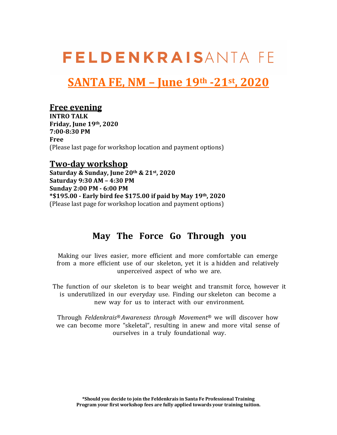## **SANTA FE, NM – June 19th -21st, 2020**

#### **Free evening**

**INTRO TALK Friday, June 19th, 2020 7:00-8:30 PM Free** (Please last page for workshop location and payment options)

#### **Two-day workshop**

**Saturday & Sunday, June 20th & 21st, 2020 Saturday 9:30 AM – 4:30 PM Sunday 2:00 PM - 6:00 PM \*\$195.00 - Early bird fee \$175.00 if paid by May 19th, 2020** (Please last page for workshop location and payment options)

### **May The Force Go Through you**

Making our lives easier, more efficient and more comfortable can emerge from a more efficient use of our skeleton, yet it is a hidden and relatively unperceived aspect of who we are.

The function of our skeleton is to bear weight and transmit force, however it is underutilized in our everyday use. Finding our skeleton can become a new way for us to interact with our environment.

Through *Feldenkrais® Awareness through Movement®* we will discover how we can become more "skeletal", resulting in anew and more vital sense of ourselves in a truly foundational way.